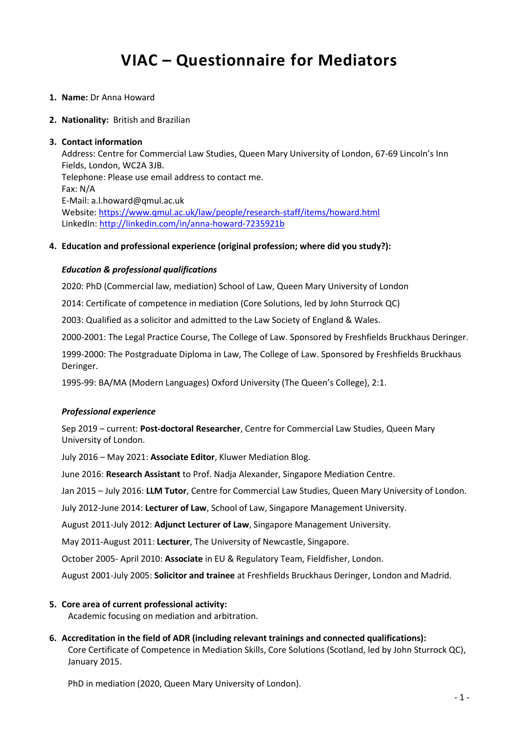# **VIAC – Questionnaire for Mediators**

- **1. Name:** Dr Anna Howard
- **2. Nationality:** British and Brazilian

#### **3. Contact information**

Address: Centre for Commercial Law Studies, Queen Mary University of London, 67-69 Lincoln's Inn Fields, London, WC2A 3JB. Telephone: Please use email address to contact me. Fax: N/A E-Mail: a.l.howard@qmul.ac.uk Website: <https://www.qmul.ac.uk/law/people/research-staff/items/howard.html> LinkedIn: <http://linkedin.com/in/anna-howard-7235921b>

## **4. Education and professional experience (original profession; where did you study?):**

#### *Education & professional qualifications*

2020: PhD (Commercial law, mediation) School of Law, Queen Mary University of London

2014: Certificate of competence in mediation (Core Solutions, led by John Sturrock QC)

2003: Qualified as a solicitor and admitted to the Law Society of England & Wales.

2000-2001: The Legal Practice Course, The College of Law. Sponsored by Freshfields Bruckhaus Deringer.

1999-2000: The Postgraduate Diploma in Law, The College of Law. Sponsored by Freshfields Bruckhaus Deringer.

1995-99: BA/MA (Modern Languages) Oxford University (The Queen's College), 2:1.

## *Professional experience*

Sep 2019 – current: **Post-doctoral Researcher**, Centre for Commercial Law Studies, Queen Mary University of London.

July 2016 – May 2021: **Associate Editor**, Kluwer Mediation Blog.

June 2016: **Research Assistant** to Prof. Nadja Alexander, Singapore Mediation Centre.

Jan 2015 – July 2016: **LLM Tutor**, Centre for Commercial Law Studies, Queen Mary University of London.

July 2012-June 2014: **Lecturer of Law**, School of Law, Singapore Management University.

August 2011-July 2012: **Adjunct Lecturer of Law**, Singapore Management University.

May 2011-August 2011: **Lecturer**, The University of Newcastle, Singapore.

October 2005- April 2010: **Associate** in EU & Regulatory Team, Fieldfisher, London.

August 2001-July 2005: **Solicitor and trainee** at Freshfields Bruckhaus Deringer, London and Madrid.

## **5. Core area of current professional activity:**

Academic focusing on mediation and arbitration.

**6. Accreditation in the field of ADR (including relevant trainings and connected qualifications):** Core Certificate of Competence in Mediation Skills, Core Solutions (Scotland, led by John Sturrock QC), January 2015.

PhD in mediation (2020, Queen Mary University of London).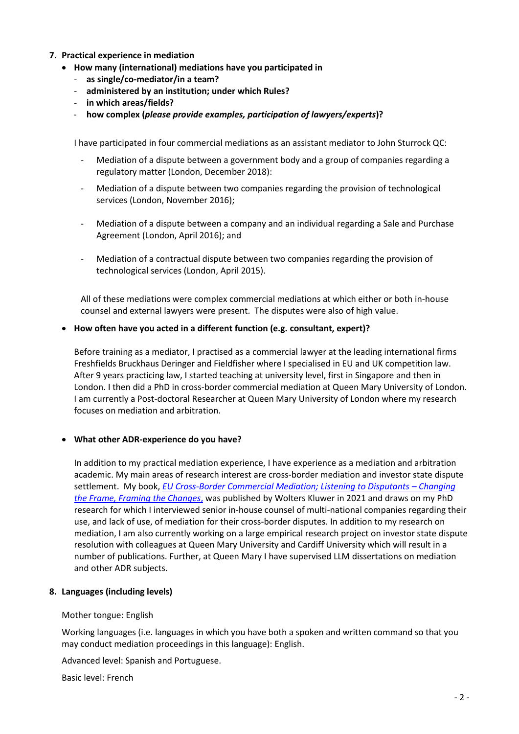## **7. Practical experience in mediation**

- **How many (international) mediations have you participated in**
	- **as single/co-mediator/in a team?**
	- **administered by an institution; under which Rules?**
	- **in which areas/fields?**
	- **how complex (***please provide examples, participation of lawyers/experts***)?**

I have participated in four commercial mediations as an assistant mediator to John Sturrock QC:

- Mediation of a dispute between a government body and a group of companies regarding a regulatory matter (London, December 2018):
- Mediation of a dispute between two companies regarding the provision of technological services (London, November 2016);
- Mediation of a dispute between a company and an individual regarding a Sale and Purchase Agreement (London, April 2016); and
- Mediation of a contractual dispute between two companies regarding the provision of technological services (London, April 2015).

All of these mediations were complex commercial mediations at which either or both in-house counsel and external lawyers were present. The disputes were also of high value.

## • **How often have you acted in a different function (e.g. consultant, expert)?**

Before training as a mediator, I practised as a commercial lawyer at the leading international firms Freshfields Bruckhaus Deringer and Fieldfisher where I specialised in EU and UK competition law. After 9 years practicing law, I started teaching at university level, first in Singapore and then in London. I then did a PhD in cross-border commercial mediation at Queen Mary University of London. I am currently a Post-doctoral Researcher at Queen Mary University of London where my research focuses on mediation and arbitration.

## • **What other ADR-experience do you have?**

In addition to my practical mediation experience, I have experience as a mediation and arbitration academic. My main areas of research interest are cross-border mediation and investor state dispute settlement. My book, *[EU Cross-Border Commercial Mediation; Listening to Disputants](https://law-store.wolterskluwer.com/s/product/changing-the-frame-framing-the-changes/01t0f00000J4qNR) – Changing [the Frame, Framing the Changes](https://law-store.wolterskluwer.com/s/product/changing-the-frame-framing-the-changes/01t0f00000J4qNR)*, was published by Wolters Kluwer in 2021 and draws on my PhD research for which I interviewed senior in-house counsel of multi-national companies regarding their use, and lack of use, of mediation for their cross-border disputes. In addition to my research on mediation, I am also currently working on a large empirical research project on investor state dispute resolution with colleagues at Queen Mary University and Cardiff University which will result in a number of publications. Further, at Queen Mary I have supervised LLM dissertations on mediation and other ADR subjects.

## **8. Languages (including levels)**

## Mother tongue: English

Working languages (i.e. languages in which you have both a spoken and written command so that you may conduct mediation proceedings in this language): English.

Advanced level: Spanish and Portuguese.

Basic level: French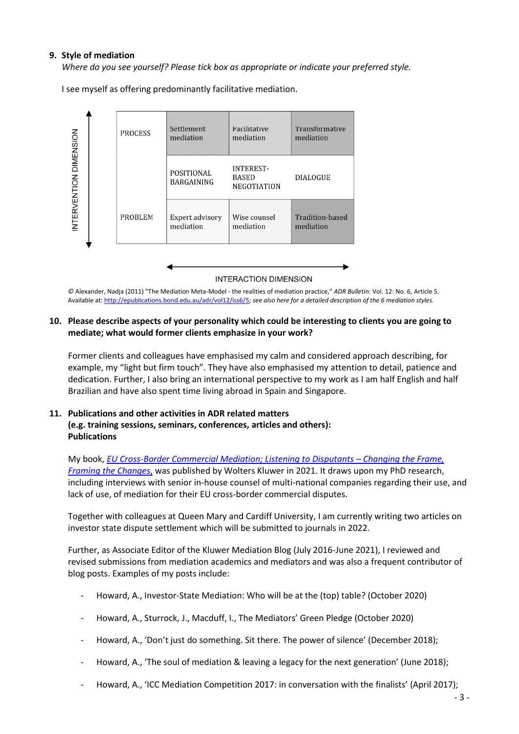## **9. Style of mediation**

*Where do you see yourself? Please tick box as appropriate or indicate your preferred style.*

I see myself as offering predominantly facilitative mediation.



#### **INTERACTION DIMENSION**

*©* Alexander, Nadja (2011) "The Mediation Meta-Model - the realities of mediation practice," *ADR Bulletin*: Vol. 12: No. 6, Article 5. Available at: [http://epublications.bond.edu.au/adr/vol12/iss6/5;](http://epublications.bond.edu.au/adr/vol12/iss6/5) *see also here for a detailed description of the 6 mediation styles.*

## **10. Please describe aspects of your personality which could be interesting to clients you are going to mediate; what would former clients emphasize in your work?**

Former clients and colleagues have emphasised my calm and considered approach describing, for example, my "light but firm touch". They have also emphasised my attention to detail, patience and dedication. Further, I also bring an international perspective to my work as I am half English and half Brazilian and have also spent time living abroad in Spain and Singapore.

## **11. Publications and other activities in ADR related matters (e.g. training sessions, seminars, conferences, articles and others): Publications**

My book, *[EU Cross-Border Commercial Mediation; Listening to Disputants](https://law-store.wolterskluwer.com/s/product/changing-the-frame-framing-the-changes/01t0f00000J4qNR) - Changing the Frame, [Framing the Changes](https://law-store.wolterskluwer.com/s/product/changing-the-frame-framing-the-changes/01t0f00000J4qNR)*, was published by Wolters Kluwer in 2021. It draws upon my PhD research, including interviews with senior in-house counsel of multi-national companies regarding their use, and lack of use, of mediation for their EU cross-border commercial disputes.

Together with colleagues at Queen Mary and Cardiff University, I am currently writing two articles on investor state dispute settlement which will be submitted to journals in 2022.

Further, as Associate Editor of the Kluwer Mediation Blog (July 2016-June 2021), I reviewed and revised submissions from mediation academics and mediators and was also a frequent contributor of blog posts. Examples of my posts include:

- Howard, A., Investor-State Mediation: Who will be at the (top) table? (October 2020)
- Howard, A., Sturrock, J., Macduff, I., The Mediators' Green Pledge (October 2020)
- Howard, A., 'Don't just do something. Sit there. The power of silence' (December 2018);
- Howard, A., 'The soul of mediation & leaving a legacy for the next generation' (June 2018);
- Howard, A., 'ICC Mediation Competition 2017: in conversation with the finalists' (April 2017);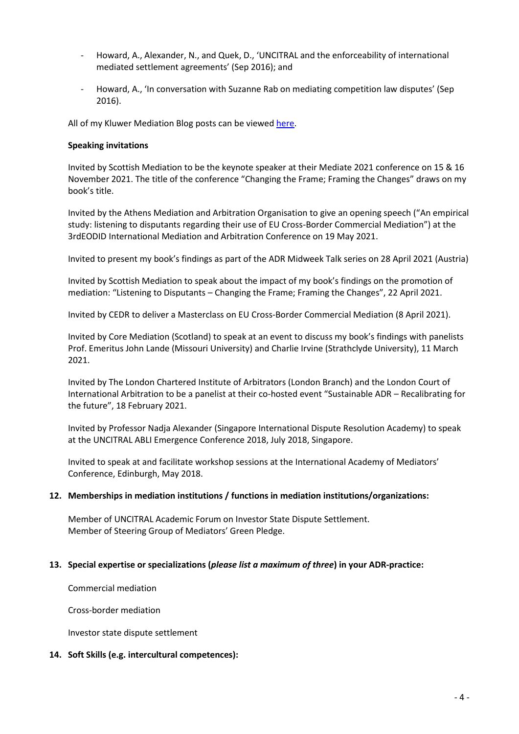- Howard, A., Alexander, N., and Quek, D., 'UNCITRAL and the enforceability of international mediated settlement agreements' (Sep 2016); and
- Howard, A., 'In conversation with Suzanne Rab on mediating competition law disputes' (Sep 2016).

All of my Kluwer Mediation Blog posts can be viewed [here.](http://mediationblog.kluwerarbitration.com/author/anna-howard/)

#### **Speaking invitations**

Invited by Scottish Mediation to be the keynote speaker at their Mediate 2021 conference on 15 & 16 November 2021. The title of the conference "Changing the Frame; Framing the Changes" draws on my book's title.

Invited by the Athens Mediation and Arbitration Organisation to give an opening speech ("An empirical study: listening to disputants regarding their use of EU Cross-Border Commercial Mediation") at the 3rdEODID International Mediation and Arbitration Conference on 19 May 2021.

Invited to present my book's findings as part of the ADR Midweek Talk series on 28 April 2021 (Austria)

Invited by Scottish Mediation to speak about the impact of my book's findings on the promotion of mediation: "Listening to Disputants – Changing the Frame; Framing the Changes", 22 April 2021.

Invited by CEDR to deliver a Masterclass on EU Cross-Border Commercial Mediation (8 April 2021).

Invited by Core Mediation (Scotland) to speak at an event to discuss my book's findings with panelists Prof. Emeritus John Lande (Missouri University) and Charlie Irvine (Strathclyde University), 11 March 2021.

Invited by The London Chartered Institute of Arbitrators (London Branch) and the London Court of International Arbitration to be a panelist at their co-hosted event "Sustainable ADR – Recalibrating for the future", 18 February 2021.

Invited by Professor Nadja Alexander (Singapore International Dispute Resolution Academy) to speak at the UNCITRAL ABLI Emergence Conference 2018, July 2018, Singapore.

Invited to speak at and facilitate workshop sessions at the International Academy of Mediators' Conference, Edinburgh, May 2018.

## **12. Memberships in mediation institutions / functions in mediation institutions/organizations:**

Member of UNCITRAL Academic Forum on Investor State Dispute Settlement. Member of Steering Group of Mediators' Green Pledge.

## **13. Special expertise or specializations (***please list a maximum of three***) in your ADR-practice:**

Commercial mediation

Cross-border mediation

Investor state dispute settlement

## **14. Soft Skills (e.g. intercultural competences):**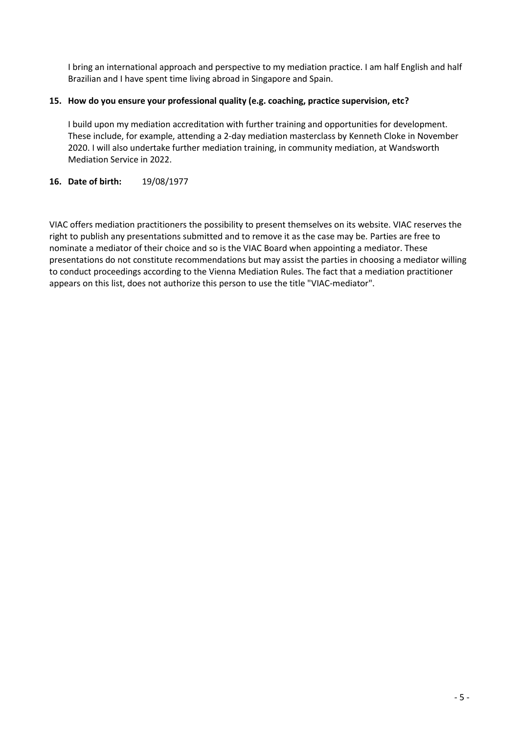I bring an international approach and perspective to my mediation practice. I am half English and half Brazilian and I have spent time living abroad in Singapore and Spain.

## **15. How do you ensure your professional quality (e.g. coaching, practice supervision, etc?**

I build upon my mediation accreditation with further training and opportunities for development. These include, for example, attending a 2-day mediation masterclass by Kenneth Cloke in November 2020. I will also undertake further mediation training, in community mediation, at Wandsworth Mediation Service in 2022.

## **16. Date of birth:** 19/08/1977

VIAC offers mediation practitioners the possibility to present themselves on its website. VIAC reserves the right to publish any presentations submitted and to remove it as the case may be. Parties are free to nominate a mediator of their choice and so is the VIAC Board when appointing a mediator. These presentations do not constitute recommendations but may assist the parties in choosing a mediator willing to conduct proceedings according to the Vienna Mediation Rules. The fact that a mediation practitioner appears on this list, does not authorize this person to use the title "VIAC-mediator".